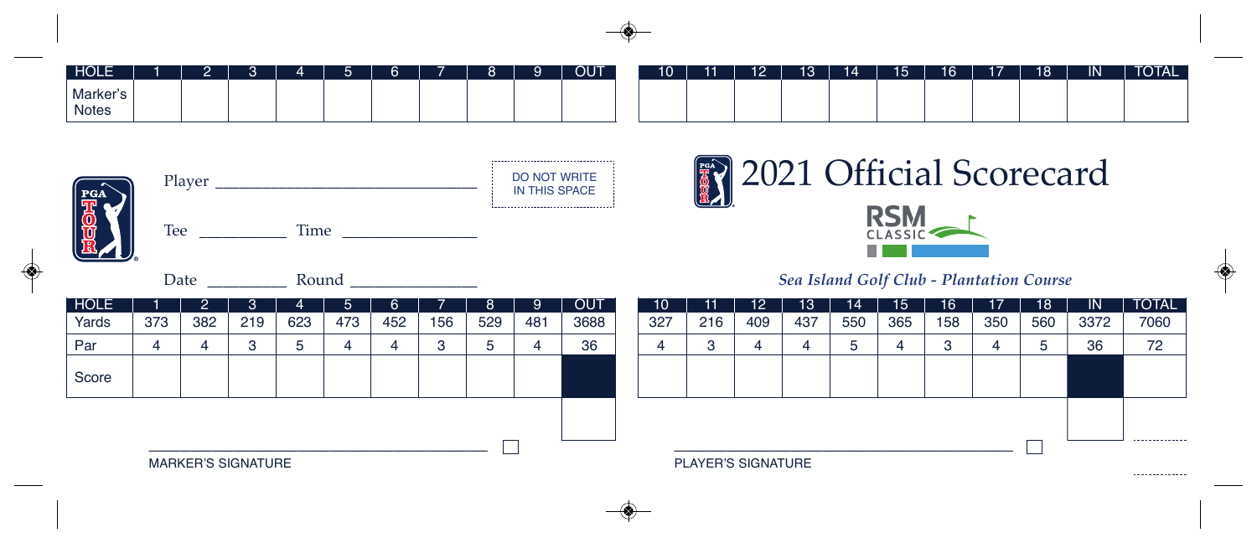| HOLE              |  |  | - | $\sim$ | $\Omega$ | $\alpha$ | <b>OUT</b> | 10 | 11 | 12 | 13 <sup>°</sup> | 14 | 15 | 16 | 17 | 18 | $\overline{\mathsf{IN}}$ | <b>TOTAL</b> |
|-------------------|--|--|---|--------|----------|----------|------------|----|----|----|-----------------|----|----|----|----|----|--------------------------|--------------|
| Marker's<br>Notes |  |  |   |        |          |          |            |    |    |    |                 |    |    |    |    |    |                          |              |

,,,,,,,,,,,,,,,,,,,,,,,,,,,,,,,,,,,



| Player      | <b>DO NOT WRITE</b><br>IN THIS SPACE |
|-------------|--------------------------------------|
| Tee<br>Time |                                      |

Date \_\_\_\_\_\_\_\_\_\_ Round \_\_\_\_\_\_\_\_\_\_\_\_\_\_\_\_



## *Sea Island Golf Club - Plantation Course*

| <b>HOLE</b> |                           |     | 3   |     | יכי | 6   |     | 8   | 9   | <b>OUT</b> |  | 10       |                    | $12^{\circ}$ | 13'            | 14  | 15  | 16  | 17  | 18  | -IN  | <b>TOTAL</b>  |
|-------------|---------------------------|-----|-----|-----|-----|-----|-----|-----|-----|------------|--|----------|--------------------|--------------|----------------|-----|-----|-----|-----|-----|------|---------------|
| Yards       | 373                       | 382 | 219 | 623 | 473 | 452 | 156 | 529 | 481 | 3688       |  | 327      | 216                | 409          | 437            | 550 | 365 | 158 | 350 | 560 | 3372 | 7060          |
| Par         |                           |     | 3   |     |     |     |     | ∽   | 4   | 36         |  | $\Delta$ |                    |              |                |     |     |     | 4   |     | 36   | 72            |
| Score       |                           |     |     |     |     |     |     |     |     |            |  |          |                    |              |                |     |     |     |     |     |      |               |
|             |                           |     |     |     |     |     |     |     |     |            |  |          |                    |              | -------------- |     |     |     |     |     |      |               |
|             | <b>MARKER'S SIGNATURE</b> |     |     |     |     |     |     |     |     |            |  |          | PLAYER'S SIGNATURE |              |                |     |     |     |     |     |      | ------------- |